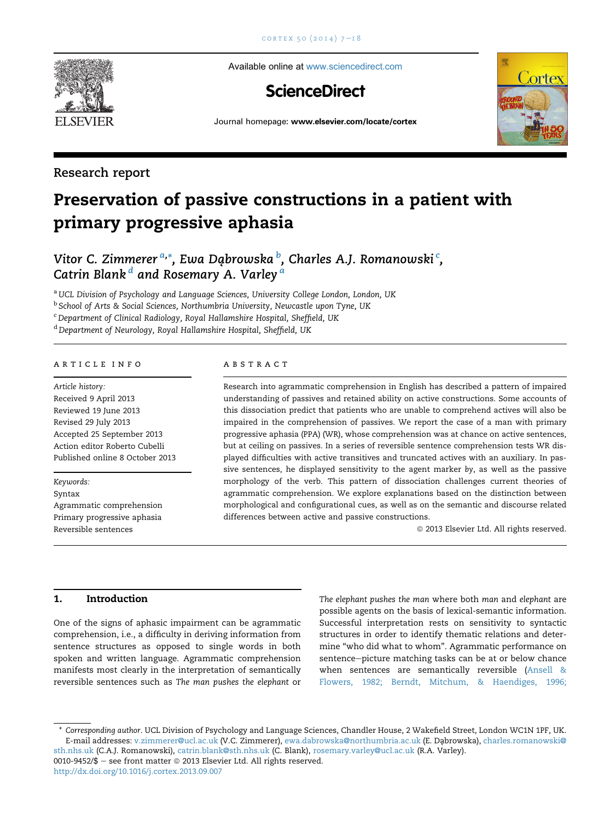

Available online at [www.sciencedirect.com](www.sciencedirect.com/science/journal/00109452)

## **ScienceDirect**



Journal homepage: <www.elsevier.com/locate/cortex>

### Research report

# Preservation of passive constructions in a patient with primary progressive aphasia

## Vitor C. Zimmerer <sup>a,</sup>\*, Ewa Dąbrowska <sup>b</sup>, Charles A.J. Romanowski <sup>c</sup>, Catrin Blank<sup>d</sup> and Rosemary A. Varley<sup>a</sup>

a UCL Division of Psychology and Language Sciences, University College London, London, UK

<sup>b</sup> School of Arts & Social Sciences, Northumbria University, Newcastle upon Tyne, UK

<sup>c</sup> Department of Clinical Radiology, Royal Hallamshire Hospital, Sheffield, UK

<sup>d</sup> Department of Neurology, Royal Hallamshire Hospital, Sheffield, UK

#### article info

Article history: Received 9 April 2013 Reviewed 19 June 2013 Revised 29 July 2013 Accepted 25 September 2013 Action editor Roberto Cubelli Published online 8 October 2013

Keywords: Syntax

Agrammatic comprehension Primary progressive aphasia Reversible sentences

#### abstract

Research into agrammatic comprehension in English has described a pattern of impaired understanding of passives and retained ability on active constructions. Some accounts of this dissociation predict that patients who are unable to comprehend actives will also be impaired in the comprehension of passives. We report the case of a man with primary progressive aphasia (PPA) (WR), whose comprehension was at chance on active sentences, but at ceiling on passives. In a series of reversible sentence comprehension tests WR displayed difficulties with active transitives and truncated actives with an auxiliary. In passive sentences, he displayed sensitivity to the agent marker by, as well as the passive morphology of the verb. This pattern of dissociation challenges current theories of agrammatic comprehension. We explore explanations based on the distinction between morphological and configurational cues, as well as on the semantic and discourse related differences between active and passive constructions.

<sup>©</sup> 2013 Elsevier Ltd. All rights reserved.

#### 1. Introduction

One of the signs of aphasic impairment can be agrammatic comprehension, i.e., a difficulty in deriving information from sentence structures as opposed to single words in both spoken and written language. Agrammatic comprehension manifests most clearly in the interpretation of semantically reversible sentences such as The man pushes the elephant or

The elephant pushes the man where both man and elephant are possible agents on the basis of lexical-semantic information. Successful interpretation rests on sensitivity to syntactic structures in order to identify thematic relations and determine "who did what to whom". Agrammatic performance on sentence-picture matching tasks can be at or below chance when sentences are semantically reversible (Ansell & Flowers, 1982; Berndt, Mitchum, & Haendiges, 1996;

<http://dx.doi.org/10.1016/j.cortex.2013.09.007>

<sup>\*</sup> Corresponding author. UCL Division of Psychology and Language Sciences, Chandler House, 2 Wakefield Street, London WC1N 1PF, UK. E-mail addresses: [v.zimmerer@ucl.ac.uk](mailto:v.zimmerer@ucl.ac.uk) (V.C. Zimmerer), [ewa.dabrowska@northumbria.ac.uk](mailto:ewa.dabrowska@northumbria.ac.uk) (E. Dąbrowska), [charles.romanowski@](mailto:charles.romanowski@sth.nhs.uk) [sth.nhs.uk](mailto:charles.romanowski@sth.nhs.uk) (C.A.J. Romanowski), [catrin.blank@sth.nhs.uk](mailto:catrin.blank@sth.nhs.uk) (C. Blank), [rosemary.varley@ucl.ac.uk](mailto:rosemary.varley@ucl.ac.uk) (R.A. Varley). 0010-9452/\$ - see front matter  $©$  2013 Elsevier Ltd. All rights reserved.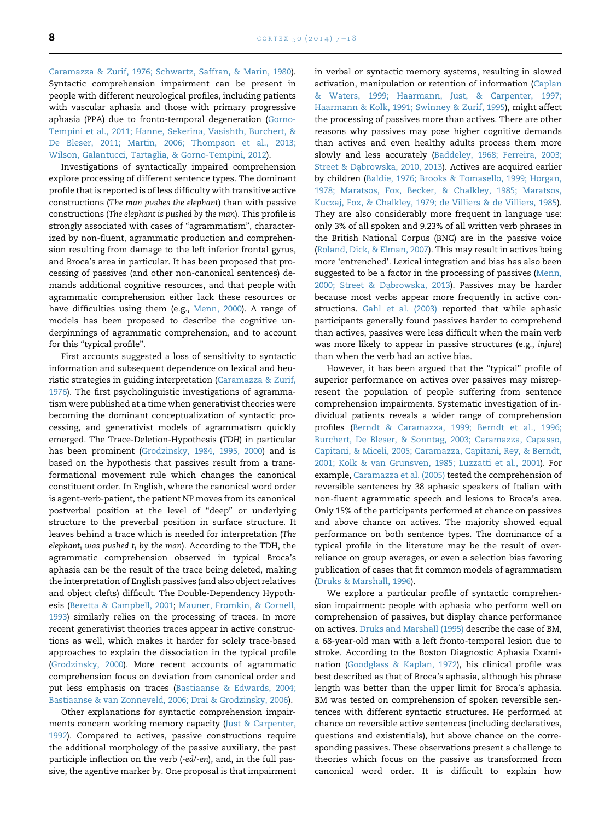Caramazza & Zurif, 1976; Schwartz, Saffran, & Marin, 1980). Syntactic comprehension impairment can be present in people with different neurological profiles, including patients with vascular aphasia and those with primary progressive aphasia (PPA) due to fronto-temporal degeneration (Gorno-Tempini et al., 2011; Hanne, Sekerina, Vasishth, Burchert, & De Bleser, 2011; Martin, 2006; Thompson et al., 2013; Wilson, Galantucci, Tartaglia, & Gorno-Tempini, 2012).

Investigations of syntactically impaired comprehension explore processing of different sentence types. The dominant profile that is reported is of less difficulty with transitive active constructions (The man pushes the elephant) than with passive constructions (The elephant is pushed by the man). This profile is strongly associated with cases of "agrammatism", characterized by non-fluent, agrammatic production and comprehension resulting from damage to the left inferior frontal gyrus, and Broca's area in particular. It has been proposed that processing of passives (and other non-canonical sentences) demands additional cognitive resources, and that people with agrammatic comprehension either lack these resources or have difficulties using them (e.g., Menn, 2000). A range of models has been proposed to describe the cognitive underpinnings of agrammatic comprehension, and to account for this "typical profile".

First accounts suggested a loss of sensitivity to syntactic information and subsequent dependence on lexical and heuristic strategies in guiding interpretation (Caramazza & Zurif, 1976). The first psycholinguistic investigations of agrammatism were published at a time when generativist theories were becoming the dominant conceptualization of syntactic processing, and generativist models of agrammatism quickly emerged. The Trace-Deletion-Hypothesis (TDH) in particular has been prominent (Grodzinsky, 1984, 1995, 2000) and is based on the hypothesis that passives result from a transformational movement rule which changes the canonical constituent order. In English, where the canonical word order is agent-verb-patient, the patient NP moves from its canonical postverbal position at the level of "deep" or underlying structure to the preverbal position in surface structure. It leaves behind a trace which is needed for interpretation (The elephant<sub>i</sub> was pushed  $t_i$  by the man). According to the TDH, the agrammatic comprehension observed in typical Broca's aphasia can be the result of the trace being deleted, making the interpretation of English passives (and also object relatives and object clefts) difficult. The Double-Dependency Hypothesis (Beretta & Campbell, 2001; Mauner, Fromkin, & Cornell, 1993) similarly relies on the processing of traces. In more recent generativist theories traces appear in active constructions as well, which makes it harder for solely trace-based approaches to explain the dissociation in the typical profile (Grodzinsky, 2000). More recent accounts of agrammatic comprehension focus on deviation from canonical order and put less emphasis on traces (Bastiaanse & Edwards, 2004; Bastiaanse & van Zonneveld, 2006; Drai & Grodzinsky, 2006).

Other explanations for syntactic comprehension impairments concern working memory capacity (Just & Carpenter, 1992). Compared to actives, passive constructions require the additional morphology of the passive auxiliary, the past participle inflection on the verb (-ed/-en), and, in the full passive, the agentive marker by. One proposal is that impairment in verbal or syntactic memory systems, resulting in slowed activation, manipulation or retention of information (Caplan & Waters, 1999; Haarmann, Just, & Carpenter, 1997; Haarmann & Kolk, 1991; Swinney & Zurif, 1995), might affect the processing of passives more than actives. There are other reasons why passives may pose higher cognitive demands than actives and even healthy adults process them more slowly and less accurately (Baddeley, 1968; Ferreira, 2003; Street & Dabrowska, 2010, 2013). Actives are acquired earlier by children (Baldie, 1976; Brooks & Tomasello, 1999; Horgan, 1978; Maratsos, Fox, Becker, & Chalkley, 1985; Maratsos, Kuczaj, Fox, & Chalkley, 1979; de Villiers & de Villiers, 1985). They are also considerably more frequent in language use: only 3% of all spoken and 9.23% of all written verb phrases in the British National Corpus (BNC) are in the passive voice (Roland, Dick, & Elman, 2007). This may result in actives being more 'entrenched'. Lexical integration and bias has also been suggested to be a factor in the processing of passives (Menn, 2000; Street & Dąbrowska, 2013). Passives may be harder because most verbs appear more frequently in active constructions. Gahl et al. (2003) reported that while aphasic participants generally found passives harder to comprehend than actives, passives were less difficult when the main verb was more likely to appear in passive structures (e.g., injure) than when the verb had an active bias.

However, it has been argued that the "typical" profile of superior performance on actives over passives may misrepresent the population of people suffering from sentence comprehension impairments. Systematic investigation of individual patients reveals a wider range of comprehension profiles (Berndt & Caramazza, 1999; Berndt et al., 1996; Burchert, De Bleser, & Sonntag, 2003; Caramazza, Capasso, Capitani, & Miceli, 2005; Caramazza, Capitani, Rey, & Berndt, 2001; Kolk & van Grunsven, 1985; Luzzatti et al., 2001). For example, Caramazza et al. (2005) tested the comprehension of reversible sentences by 38 aphasic speakers of Italian with non-fluent agrammatic speech and lesions to Broca's area. Only 15% of the participants performed at chance on passives and above chance on actives. The majority showed equal performance on both sentence types. The dominance of a typical profile in the literature may be the result of overreliance on group averages, or even a selection bias favoring publication of cases that fit common models of agrammatism (Druks & Marshall, 1996).

We explore a particular profile of syntactic comprehension impairment: people with aphasia who perform well on comprehension of passives, but display chance performance on actives. Druks and Marshall (1995) describe the case of BM, a 68-year-old man with a left fronto-temporal lesion due to stroke. According to the Boston Diagnostic Aphasia Examination (Goodglass & Kaplan, 1972), his clinical profile was best described as that of Broca's aphasia, although his phrase length was better than the upper limit for Broca's aphasia. BM was tested on comprehension of spoken reversible sentences with different syntactic structures. He performed at chance on reversible active sentences (including declaratives, questions and existentials), but above chance on the corresponding passives. These observations present a challenge to theories which focus on the passive as transformed from canonical word order. It is difficult to explain how